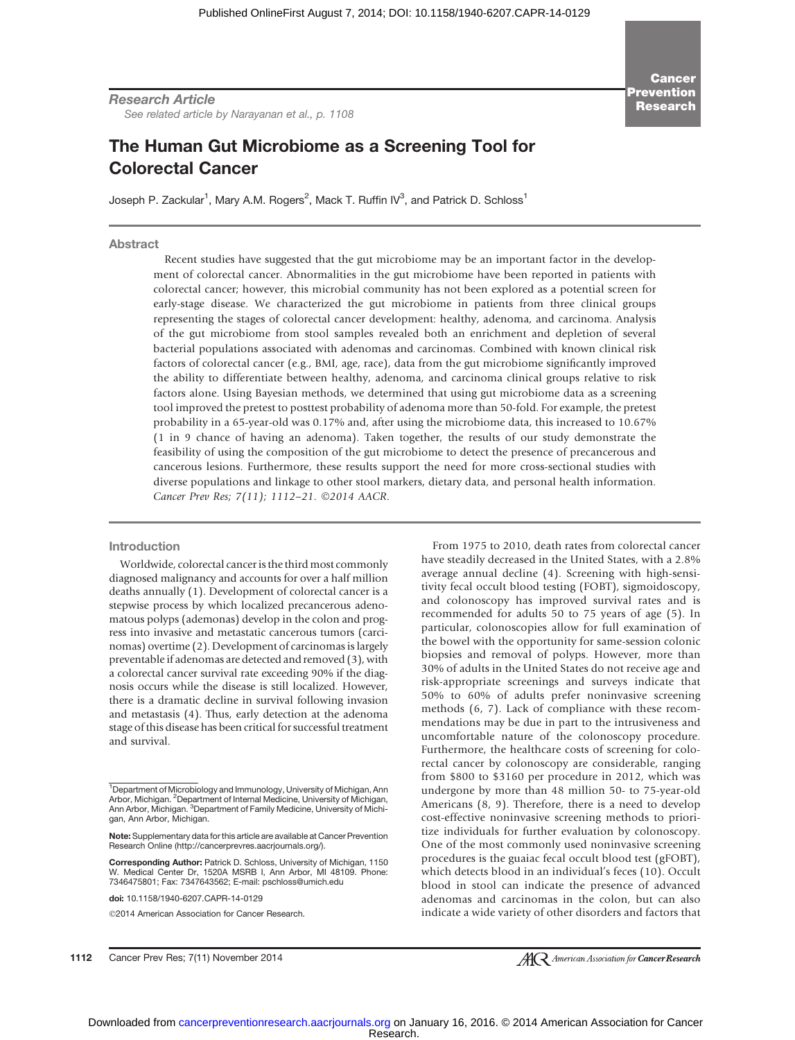# Research Article

See related article by Narayanan et al., p. 1108

# The Human Gut Microbiome as a Screening Tool for Colorectal Cancer

Joseph P. Zackular<sup>1</sup>, Mary A.M. Rogers<sup>2</sup>, Mack T. Ruffin IV<sup>3</sup>, and Patrick D. Schloss<sup>1</sup>

# Abstract

Recent studies have suggested that the gut microbiome may be an important factor in the development of colorectal cancer. Abnormalities in the gut microbiome have been reported in patients with colorectal cancer; however, this microbial community has not been explored as a potential screen for early-stage disease. We characterized the gut microbiome in patients from three clinical groups representing the stages of colorectal cancer development: healthy, adenoma, and carcinoma. Analysis of the gut microbiome from stool samples revealed both an enrichment and depletion of several bacterial populations associated with adenomas and carcinomas. Combined with known clinical risk factors of colorectal cancer (e.g., BMI, age, race), data from the gut microbiome significantly improved the ability to differentiate between healthy, adenoma, and carcinoma clinical groups relative to risk factors alone. Using Bayesian methods, we determined that using gut microbiome data as a screening tool improved the pretest to posttest probability of adenoma more than 50-fold. For example, the pretest probability in a 65-year-old was 0.17% and, after using the microbiome data, this increased to 10.67% (1 in 9 chance of having an adenoma). Taken together, the results of our study demonstrate the feasibility of using the composition of the gut microbiome to detect the presence of precancerous and cancerous lesions. Furthermore, these results support the need for more cross-sectional studies with diverse populations and linkage to other stool markers, dietary data, and personal health information. Cancer Prev Res; 7(11); 1112-21. ©2014 AACR.

# Introduction

Worldwide, colorectal cancer is the third most commonly diagnosed malignancy and accounts for over a half million deaths annually (1). Development of colorectal cancer is a stepwise process by which localized precancerous adenomatous polyps (ademonas) develop in the colon and progress into invasive and metastatic cancerous tumors (carcinomas) overtime (2). Development of carcinomas is largely preventable if adenomas are detected and removed (3), with a colorectal cancer survival rate exceeding 90% if the diagnosis occurs while the disease is still localized. However, there is a dramatic decline in survival following invasion and metastasis (4). Thus, early detection at the adenoma stage of this disease has been critical for successful treatment and survival.

doi: 10.1158/1940-6207.CAPR-14-0129

2014 American Association for Cancer Research.

From 1975 to 2010, death rates from colorectal cancer have steadily decreased in the United States, with a 2.8% average annual decline (4). Screening with high-sensitivity fecal occult blood testing (FOBT), sigmoidoscopy, and colonoscopy has improved survival rates and is recommended for adults 50 to 75 years of age (5). In particular, colonoscopies allow for full examination of the bowel with the opportunity for same-session colonic biopsies and removal of polyps. However, more than 30% of adults in the United States do not receive age and risk-appropriate screenings and surveys indicate that 50% to 60% of adults prefer noninvasive screening methods (6, 7). Lack of compliance with these recommendations may be due in part to the intrusiveness and uncomfortable nature of the colonoscopy procedure. Furthermore, the healthcare costs of screening for colorectal cancer by colonoscopy are considerable, ranging from \$800 to \$3160 per procedure in 2012, which was undergone by more than 48 million 50- to 75-year-old Americans (8, 9). Therefore, there is a need to develop cost-effective noninvasive screening methods to prioritize individuals for further evaluation by colonoscopy. One of the most commonly used noninvasive screening procedures is the guaiac fecal occult blood test (gFOBT), which detects blood in an individual's feces (10). Occult blood in stool can indicate the presence of advanced adenomas and carcinomas in the colon, but can also indicate a wide variety of other disorders and factors that

<sup>&</sup>lt;sup>1</sup> Department of Microbiology and Immunology, University of Michigan, Ann Arbor, Michigan. <sup>2</sup>Department of Internal Medicine, University of Michigan,<br>Ann Arbor, Michigan. <sup>3</sup>Department of Family Medicine, University of Michigan, Ann Arbor, Michigan.

Note: Supplementary data for this article are available at Cancer Prevention Research Online (http://cancerprevres.aacrjournals.org/).

Corresponding Author: Patrick D. Schloss, University of Michigan, 1150 W. Medical Center Dr, 1520A MSRB I, Ann Arbor, MI 48109. Phone: 7346475801; Fax: 7347643562; E-mail: pschloss@umich.edu

**AIC** American Association for **Cancer Research**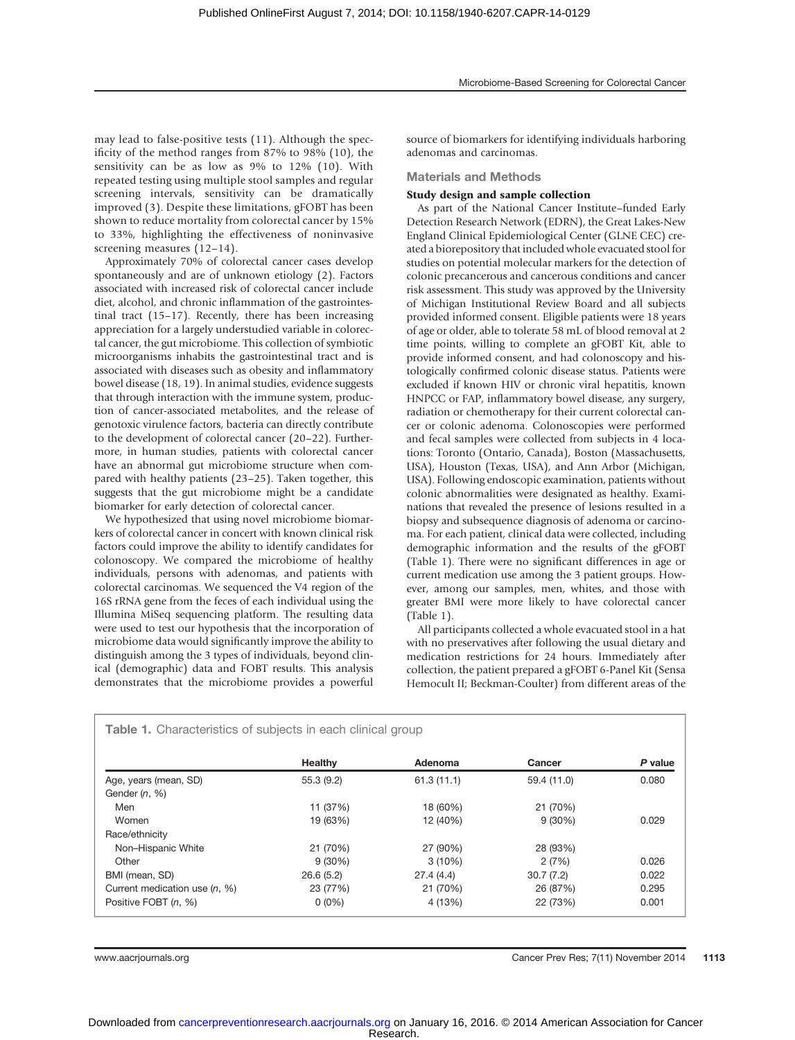may lead to false-positive tests (11). Although the specificity of the method ranges from 87% to 98% (10), the sensitivity can be as low as 9% to 12% (10). With repeated testing using multiple stool samples and regular screening intervals, sensitivity can be dramatically improved (3). Despite these limitations, gFOBT has been shown to reduce mortality from colorectal cancer by 15% to 33%, highlighting the effectiveness of noninvasive screening measures (12–14).

Approximately 70% of colorectal cancer cases develop spontaneously and are of unknown etiology (2). Factors associated with increased risk of colorectal cancer include diet, alcohol, and chronic inflammation of the gastrointestinal tract (15–17). Recently, there has been increasing appreciation for a largely understudied variable in colorectal cancer, the gut microbiome. This collection of symbiotic microorganisms inhabits the gastrointestinal tract and is associated with diseases such as obesity and inflammatory bowel disease (18, 19). In animal studies, evidence suggests that through interaction with the immune system, production of cancer-associated metabolites, and the release of genotoxic virulence factors, bacteria can directly contribute to the development of colorectal cancer (20–22). Furthermore, in human studies, patients with colorectal cancer have an abnormal gut microbiome structure when compared with healthy patients (23–25). Taken together, this suggests that the gut microbiome might be a candidate biomarker for early detection of colorectal cancer.

We hypothesized that using novel microbiome biomarkers of colorectal cancer in concert with known clinical risk factors could improve the ability to identify candidates for colonoscopy. We compared the microbiome of healthy individuals, persons with adenomas, and patients with colorectal carcinomas. We sequenced the V4 region of the 16S rRNA gene from the feces of each individual using the Illumina MiSeq sequencing platform. The resulting data were used to test our hypothesis that the incorporation of microbiome data would significantly improve the ability to distinguish among the 3 types of individuals, beyond clinical (demographic) data and FOBT results. This analysis demonstrates that the microbiome provides a powerful

source of biomarkers for identifying individuals harboring adenomas and carcinomas.

### Materials and Methods

#### Study design and sample collection

As part of the National Cancer Institute–funded Early Detection Research Network (EDRN), the Great Lakes-New England Clinical Epidemiological Center (GLNE CEC) created a biorepository that included whole evacuated stool for studies on potential molecular markers for the detection of colonic precancerous and cancerous conditions and cancer risk assessment. This study was approved by the University of Michigan Institutional Review Board and all subjects provided informed consent. Eligible patients were 18 years of age or older, able to tolerate 58 mL of blood removal at 2 time points, willing to complete an gFOBT Kit, able to provide informed consent, and had colonoscopy and histologically confirmed colonic disease status. Patients were excluded if known HIV or chronic viral hepatitis, known HNPCC or FAP, inflammatory bowel disease, any surgery, radiation or chemotherapy for their current colorectal cancer or colonic adenoma. Colonoscopies were performed and fecal samples were collected from subjects in 4 locations: Toronto (Ontario, Canada), Boston (Massachusetts, USA), Houston (Texas, USA), and Ann Arbor (Michigan, USA). Following endoscopic examination, patients without colonic abnormalities were designated as healthy. Examinations that revealed the presence of lesions resulted in a biopsy and subsequence diagnosis of adenoma or carcinoma. For each patient, clinical data were collected, including demographic information and the results of the gFOBT (Table 1). There were no significant differences in age or current medication use among the 3 patient groups. However, among our samples, men, whites, and those with greater BMI were more likely to have colorectal cancer (Table 1).

All participants collected a whole evacuated stool in a hat with no preservatives after following the usual dietary and medication restrictions for 24 hours. Immediately after collection, the patient prepared a gFOBT 6-Panel Kit (Sensa Hemocult II; Beckman-Coulter) from different areas of the

| <b>Table 1.</b> Characteristics of subjects in each clinical group |                |            |             |         |  |
|--------------------------------------------------------------------|----------------|------------|-------------|---------|--|
|                                                                    | <b>Healthy</b> | Adenoma    | Cancer      | P value |  |
| Age, years (mean, SD)                                              | 55.3(9.2)      | 61.3(11.1) | 59.4 (11.0) | 0.080   |  |
| Gender (n, %)                                                      |                |            |             |         |  |
| Men                                                                | 11 (37%)       | 18 (60%)   | 21 (70%)    |         |  |
| Women                                                              | 19 (63%)       | 12 (40%)   | 9(30%)      | 0.029   |  |
| Race/ethnicity                                                     |                |            |             |         |  |
| Non-Hispanic White                                                 | 21 (70%)       | 27 (90%)   | 28 (93%)    |         |  |
| Other                                                              | 9(30%)         | 3(10%)     | 2(7%)       | 0.026   |  |
| BMI (mean, SD)                                                     | 26.6(5.2)      | 27.4(4.4)  | 30.7(7.2)   | 0.022   |  |
| Current medication use (n, %)                                      | 23 (77%)       | 21 (70%)   | 26 (87%)    | 0.295   |  |
| Positive FOBT (n, %)                                               | $0(0\%)$       | 4 (13%)    | 22 (73%)    | 0.001   |  |

www.aacrjournals.org **Cancer Prev Res**; 7(11) November 2014 1113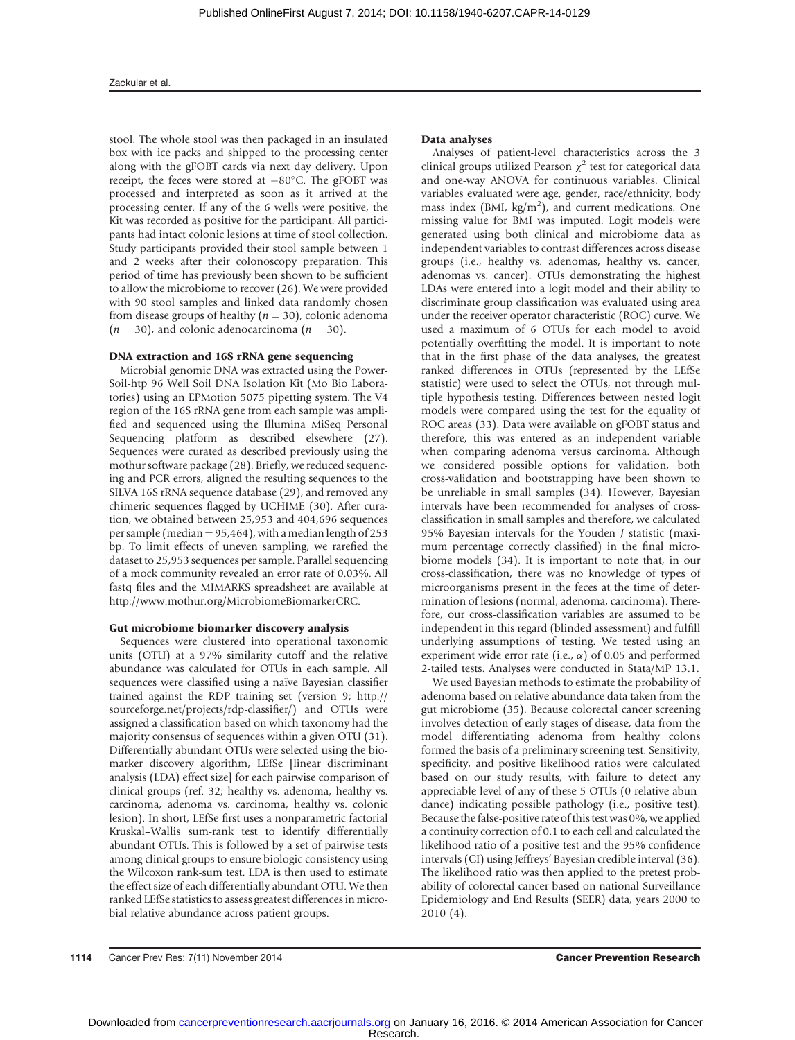stool. The whole stool was then packaged in an insulated box with ice packs and shipped to the processing center along with the gFOBT cards via next day delivery. Upon receipt, the feces were stored at  $-80^{\circ}$ C. The gFOBT was processed and interpreted as soon as it arrived at the processing center. If any of the 6 wells were positive, the Kit was recorded as positive for the participant. All participants had intact colonic lesions at time of stool collection. Study participants provided their stool sample between 1 and 2 weeks after their colonoscopy preparation. This period of time has previously been shown to be sufficient to allow the microbiome to recover (26). We were provided with 90 stool samples and linked data randomly chosen from disease groups of healthy ( $n = 30$ ), colonic adenoma  $(n = 30)$ , and colonic adenocarcinoma  $(n = 30)$ .

# DNA extraction and 16S rRNA gene sequencing

Microbial genomic DNA was extracted using the Power-Soil-htp 96 Well Soil DNA Isolation Kit (Mo Bio Laboratories) using an EPMotion 5075 pipetting system. The V4 region of the 16S rRNA gene from each sample was amplified and sequenced using the Illumina MiSeq Personal Sequencing platform as described elsewhere (27). Sequences were curated as described previously using the mothur software package (28). Briefly, we reduced sequencing and PCR errors, aligned the resulting sequences to the SILVA 16S rRNA sequence database (29), and removed any chimeric sequences flagged by UCHIME (30). After curation, we obtained between 25,953 and 404,696 sequences per sample (median  $= 95,464$ ), with a median length of 253 bp. To limit effects of uneven sampling, we rarefied the dataset to 25,953 sequences per sample. Parallel sequencing of a mock community revealed an error rate of 0.03%. All fastq files and the MIMARKS spreadsheet are available at http://www.mothur.org/MicrobiomeBiomarkerCRC.

# Gut microbiome biomarker discovery analysis

Sequences were clustered into operational taxonomic units (OTU) at a 97% similarity cutoff and the relative abundance was calculated for OTUs in each sample. All sequences were classified using a naïve Bayesian classifier trained against the RDP training set (version 9; http:// sourceforge.net/projects/rdp-classifier/) and OTUs were assigned a classification based on which taxonomy had the majority consensus of sequences within a given OTU (31). Differentially abundant OTUs were selected using the biomarker discovery algorithm, LEfSe [linear discriminant analysis (LDA) effect size] for each pairwise comparison of clinical groups (ref. 32; healthy vs. adenoma, healthy vs. carcinoma, adenoma vs. carcinoma, healthy vs. colonic lesion). In short, LEfSe first uses a nonparametric factorial Kruskal–Wallis sum-rank test to identify differentially abundant OTUs. This is followed by a set of pairwise tests among clinical groups to ensure biologic consistency using the Wilcoxon rank-sum test. LDA is then used to estimate the effect size of each differentially abundant OTU. We then ranked LEfSe statistics to assess greatest differences in microbial relative abundance across patient groups.

## Data analyses

Analyses of patient-level characteristics across the 3 clinical groups utilized Pearson  $\chi^2$  test for categorical data and one-way ANOVA for continuous variables. Clinical variables evaluated were age, gender, race/ethnicity, body mass index (BMI,  $\text{kg/m}^2$ ), and current medications. One missing value for BMI was imputed. Logit models were generated using both clinical and microbiome data as independent variables to contrast differences across disease groups (i.e., healthy vs. adenomas, healthy vs. cancer, adenomas vs. cancer). OTUs demonstrating the highest LDAs were entered into a logit model and their ability to discriminate group classification was evaluated using area under the receiver operator characteristic (ROC) curve. We used a maximum of 6 OTUs for each model to avoid potentially overfitting the model. It is important to note that in the first phase of the data analyses, the greatest ranked differences in OTUs (represented by the LEfSe statistic) were used to select the OTUs, not through multiple hypothesis testing. Differences between nested logit models were compared using the test for the equality of ROC areas (33). Data were available on gFOBT status and therefore, this was entered as an independent variable when comparing adenoma versus carcinoma. Although we considered possible options for validation, both cross-validation and bootstrapping have been shown to be unreliable in small samples (34). However, Bayesian intervals have been recommended for analyses of crossclassification in small samples and therefore, we calculated 95% Bayesian intervals for the Youden J statistic (maximum percentage correctly classified) in the final microbiome models (34). It is important to note that, in our cross-classification, there was no knowledge of types of microorganisms present in the feces at the time of determination of lesions (normal, adenoma, carcinoma). Therefore, our cross-classification variables are assumed to be independent in this regard (blinded assessment) and fulfill underlying assumptions of testing. We tested using an experiment wide error rate (i.e.,  $\alpha$ ) of 0.05 and performed 2-tailed tests. Analyses were conducted in Stata/MP 13.1.

We used Bayesian methods to estimate the probability of adenoma based on relative abundance data taken from the gut microbiome (35). Because colorectal cancer screening involves detection of early stages of disease, data from the model differentiating adenoma from healthy colons formed the basis of a preliminary screening test. Sensitivity, specificity, and positive likelihood ratios were calculated based on our study results, with failure to detect any appreciable level of any of these 5 OTUs (0 relative abundance) indicating possible pathology (i.e., positive test). Because the false-positive rate of this test was 0%, we applied a continuity correction of 0.1 to each cell and calculated the likelihood ratio of a positive test and the 95% confidence intervals (CI) using Jeffreys' Bayesian credible interval (36). The likelihood ratio was then applied to the pretest probability of colorectal cancer based on national Surveillance Epidemiology and End Results (SEER) data, years 2000 to 2010 (4).

1114 Cancer Prev Res; 7(11) November 2014 Cancer Prevention Research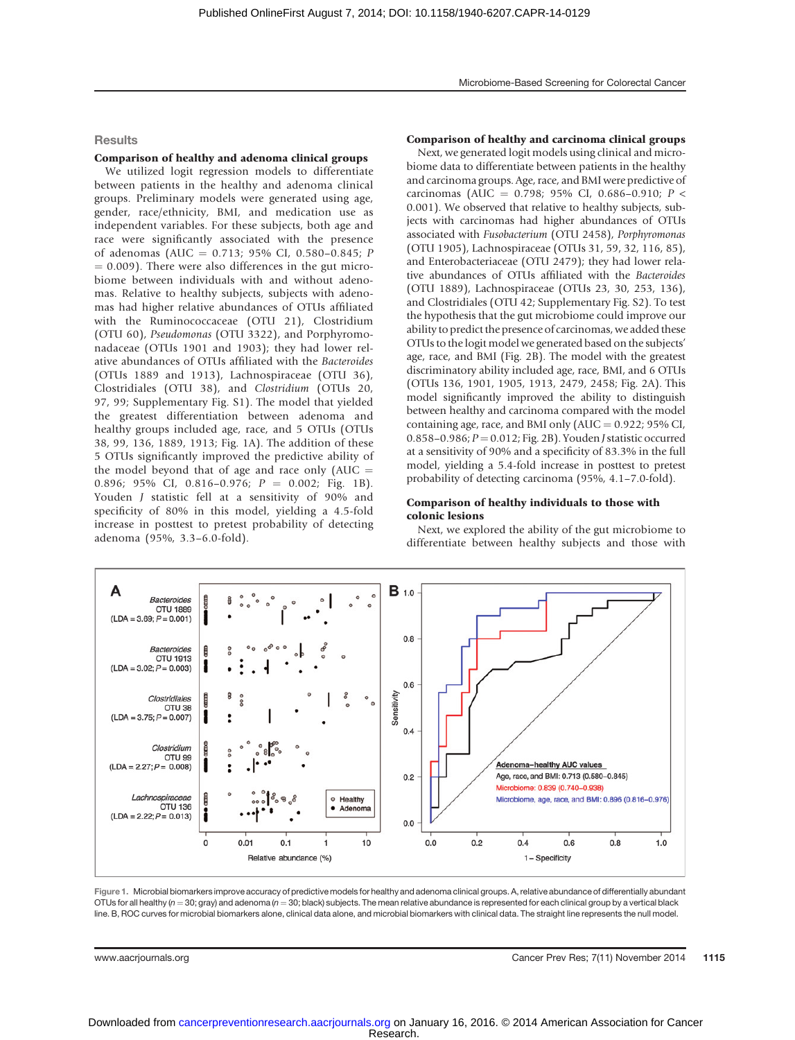# **Results**

### Comparison of healthy and adenoma clinical groups

We utilized logit regression models to differentiate between patients in the healthy and adenoma clinical groups. Preliminary models were generated using age, gender, race/ethnicity, BMI, and medication use as independent variables. For these subjects, both age and race were significantly associated with the presence of adenomas (AUC = 0.713; 95% CI, 0.580-0.845; P  $= 0.009$ ). There were also differences in the gut microbiome between individuals with and without adenomas. Relative to healthy subjects, subjects with adenomas had higher relative abundances of OTUs affiliated with the Ruminococcaceae (OTU 21), Clostridium (OTU 60), Pseudomonas (OTU 3322), and Porphyromonadaceae (OTUs 1901 and 1903); they had lower relative abundances of OTUs affiliated with the Bacteroides (OTUs 1889 and 1913), Lachnospiraceae (OTU 36), Clostridiales (OTU 38), and Clostridium (OTUs 20, 97, 99; Supplementary Fig. S1). The model that yielded the greatest differentiation between adenoma and healthy groups included age, race, and 5 OTUs (OTUs 38, 99, 136, 1889, 1913; Fig. 1A). The addition of these 5 OTUs significantly improved the predictive ability of the model beyond that of age and race only  $(AUC =$ 0.896; 95% CI, 0.816–0.976;  $P = 0.002$ ; Fig. 1B). Youden J statistic fell at a sensitivity of 90% and specificity of 80% in this model, yielding a 4.5-fold increase in posttest to pretest probability of detecting adenoma (95%, 3.3–6.0-fold).

# Comparison of healthy and carcinoma clinical groups

Next, we generated logit models using clinical and microbiome data to differentiate between patients in the healthy and carcinoma groups. Age, race, and BMI were predictive of carcinomas (AUC = 0.798; 95% CI, 0.686-0.910;  $P$  < 0.001). We observed that relative to healthy subjects, subjects with carcinomas had higher abundances of OTUs associated with Fusobacterium (OTU 2458), Porphyromonas (OTU 1905), Lachnospiraceae (OTUs 31, 59, 32, 116, 85), and Enterobacteriaceae (OTU 2479); they had lower relative abundances of OTUs affiliated with the Bacteroides (OTU 1889), Lachnospiraceae (OTUs 23, 30, 253, 136), and Clostridiales (OTU 42; Supplementary Fig. S2). To test the hypothesis that the gut microbiome could improve our ability to predict the presence of carcinomas, we added these OTUs to the logit model we generated based on the subjects' age, race, and BMI (Fig. 2B). The model with the greatest discriminatory ability included age, race, BMI, and 6 OTUs (OTUs 136, 1901, 1905, 1913, 2479, 2458; Fig. 2A). This model significantly improved the ability to distinguish between healthy and carcinoma compared with the model containing age, race, and BMI only ( $AUC = 0.922$ ; 95% CI, 0.858-0.986;  $P = 0.012$ ; Fig. 2B). Youden J statistic occurred at a sensitivity of 90% and a specificity of 83.3% in the full model, yielding a 5.4-fold increase in posttest to pretest probability of detecting carcinoma (95%, 4.1–7.0-fold).

# Comparison of healthy individuals to those with colonic lesions

Next, we explored the ability of the gut microbiome to differentiate between healthy subjects and those with



Figure 1. Microbial biomarkers improve accuracy of predictive models for healthy and adenoma clinical groups. A, relative abundance of differentially abundant OTUs for all healthy ( $n = 30$ ; gray) and adenoma ( $n = 30$ ; black) subjects. The mean relative abundance is represented for each clinical group by a vertical black line. B, ROC curves for microbial biomarkers alone, clinical data alone, and microbial biomarkers with clinical data. The straight line represents the null model.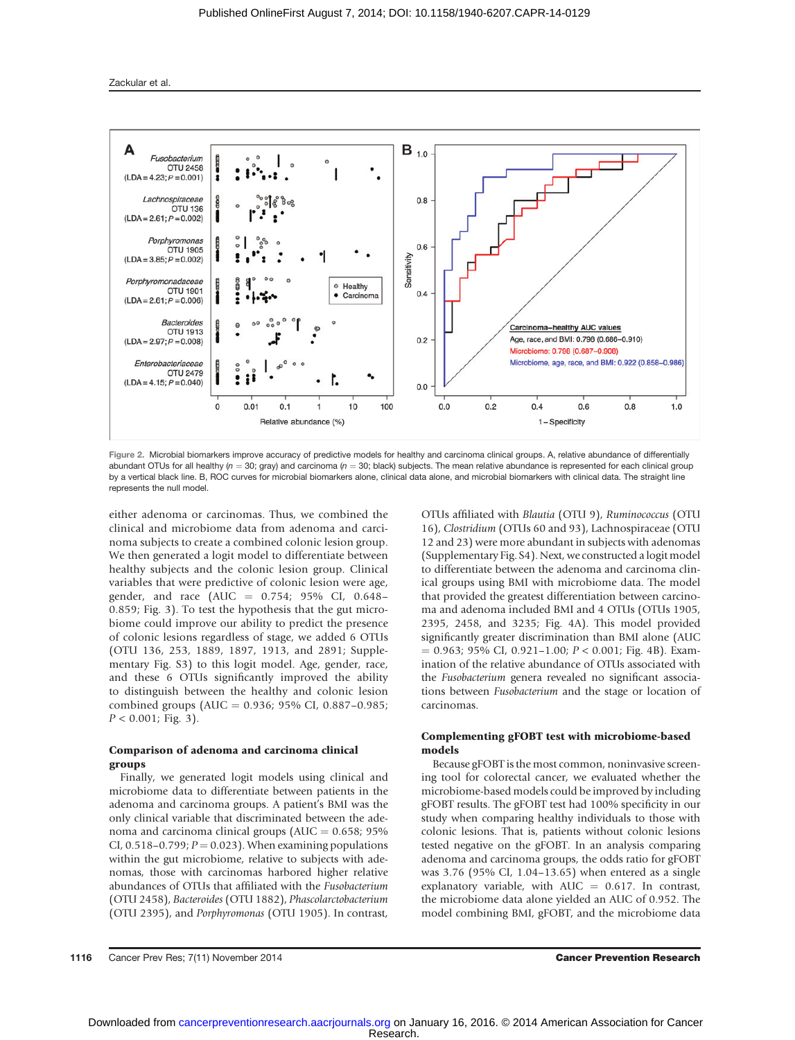



Figure 2. Microbial biomarkers improve accuracy of predictive models for healthy and carcinoma clinical groups. A, relative abundance of differentially abundant OTUs for all healthy ( $n = 30$ ; gray) and carcinoma ( $n = 30$ ; black) subjects. The mean relative abundance is represented for each clinical group by a vertical black line. B, ROC curves for microbial biomarkers alone, clinical data alone, and microbial biomarkers with clinical data. The straight line represents the null model.

either adenoma or carcinomas. Thus, we combined the clinical and microbiome data from adenoma and carcinoma subjects to create a combined colonic lesion group. We then generated a logit model to differentiate between healthy subjects and the colonic lesion group. Clinical variables that were predictive of colonic lesion were age, gender, and race (AUC =  $0.754$ ; 95% CI, 0.648-0.859; Fig. 3). To test the hypothesis that the gut microbiome could improve our ability to predict the presence of colonic lesions regardless of stage, we added 6 OTUs (OTU 136, 253, 1889, 1897, 1913, and 2891; Supplementary Fig. S3) to this logit model. Age, gender, race, and these 6 OTUs significantly improved the ability to distinguish between the healthy and colonic lesion combined groups (AUC =  $0.936$ ; 95% CI, 0.887-0.985;  $P < 0.001$ ; Fig. 3).

# Comparison of adenoma and carcinoma clinical groups

Finally, we generated logit models using clinical and microbiome data to differentiate between patients in the adenoma and carcinoma groups. A patient's BMI was the only clinical variable that discriminated between the adenoma and carcinoma clinical groups ( $AUC = 0.658$ ; 95% CI, 0.518–0.799;  $P = 0.023$ ). When examining populations within the gut microbiome, relative to subjects with adenomas, those with carcinomas harbored higher relative abundances of OTUs that affiliated with the Fusobacterium (OTU 2458), Bacteroides (OTU 1882), Phascolarctobacterium (OTU 2395), and Porphyromonas (OTU 1905). In contrast,

OTUs affiliated with Blautia (OTU 9), Ruminococcus (OTU 16), Clostridium (OTUs 60 and 93), Lachnospiraceae (OTU 12 and 23) were more abundant in subjects with adenomas (Supplementary Fig. S4). Next, we constructed a logit model to differentiate between the adenoma and carcinoma clinical groups using BMI with microbiome data. The model that provided the greatest differentiation between carcinoma and adenoma included BMI and 4 OTUs (OTUs 1905, 2395, 2458, and 3235; Fig. 4A). This model provided significantly greater discrimination than BMI alone (AUC  $= 0.963$ ; 95% CI, 0.921-1.00;  $P < 0.001$ ; Fig. 4B). Examination of the relative abundance of OTUs associated with the Fusobacterium genera revealed no significant associations between Fusobacterium and the stage or location of carcinomas.

# Complementing gFOBT test with microbiome-based models

Because gFOBT is the most common, noninvasive screening tool for colorectal cancer, we evaluated whether the microbiome-based models could be improved by including gFOBT results. The gFOBT test had 100% specificity in our study when comparing healthy individuals to those with colonic lesions. That is, patients without colonic lesions tested negative on the gFOBT. In an analysis comparing adenoma and carcinoma groups, the odds ratio for gFOBT was 3.76 (95% CI, 1.04–13.65) when entered as a single explanatory variable, with  $AUC = 0.617$ . In contrast, the microbiome data alone yielded an AUC of 0.952. The model combining BMI, gFOBT, and the microbiome data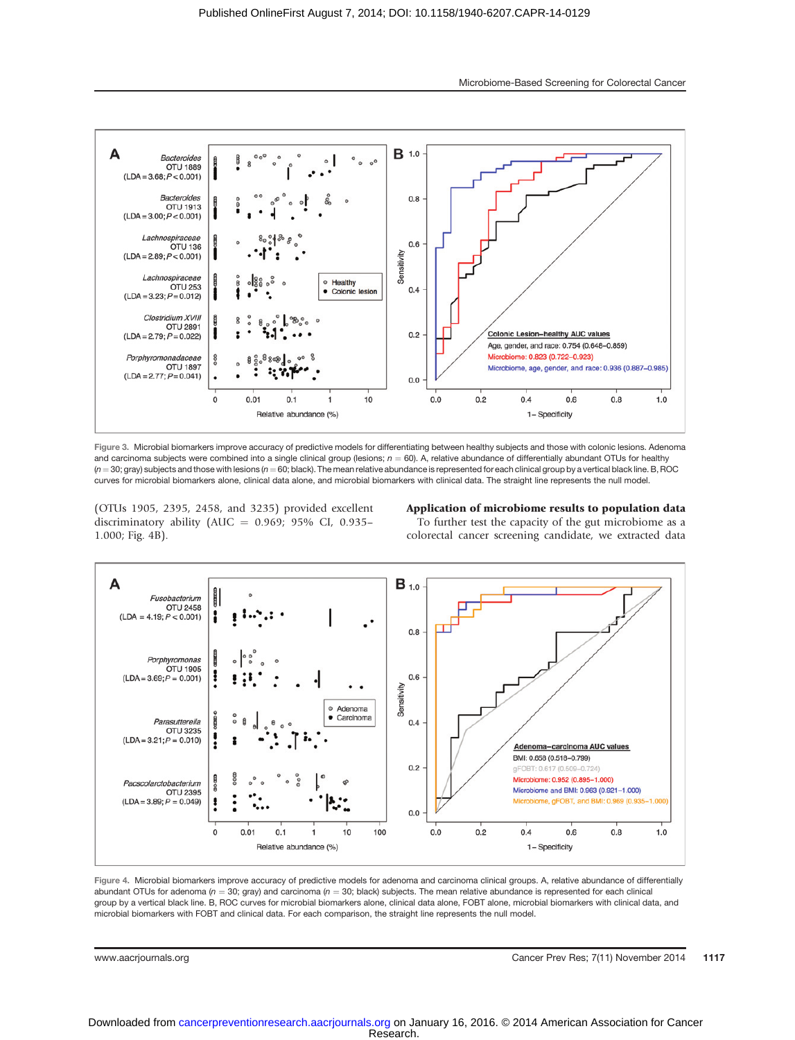



Figure 3. Microbial biomarkers improve accuracy of predictive models for differentiating between healthy subjects and those with colonic lesions. Adenoma and carcinoma subjects were combined into a single clinical group (lesions:  $n = 60$ ). A, relative abundance of differentially abundant OTUs for healthy  $(n = 30;$  gray) subjects and those with lesions ( $n = 60;$  black). The mean relative abundance is represented for each clinical group by a vertical black line. B, ROC curves for microbial biomarkers alone, clinical data alone, and microbial biomarkers with clinical data. The straight line represents the null model.

(OTUs 1905, 2395, 2458, and 3235) provided excellent discriminatory ability (AUC =  $0.969$ ; 95% CI, 0.935-1.000; Fig. 4B).

Application of microbiome results to population data

To further test the capacity of the gut microbiome as a colorectal cancer screening candidate, we extracted data



Figure 4. Microbial biomarkers improve accuracy of predictive models for adenoma and carcinoma clinical groups. A, relative abundance of differentially abundant OTUs for adenoma ( $n = 30$ ; gray) and carcinoma ( $n = 30$ ; black) subjects. The mean relative abundance is represented for each clinical group by a vertical black line. B, ROC curves for microbial biomarkers alone, clinical data alone, FOBT alone, microbial biomarkers with clinical data, and microbial biomarkers with FOBT and clinical data. For each comparison, the straight line represents the null model.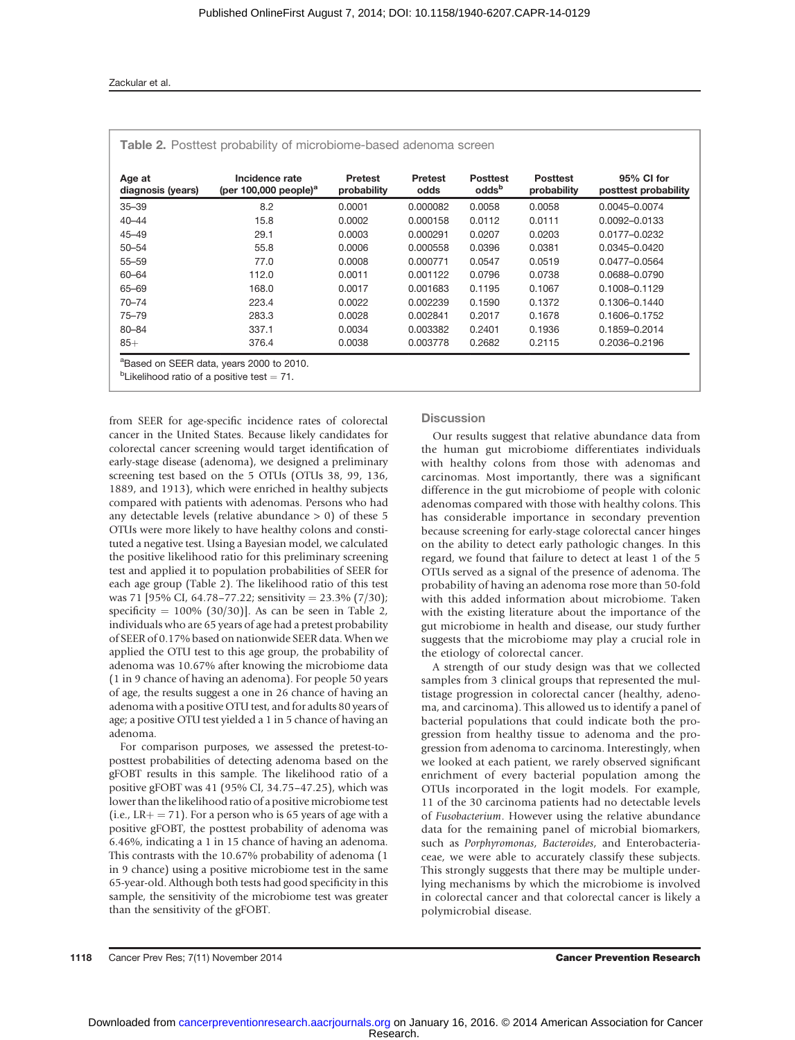| Age at<br>diagnosis (years) | Incidence rate<br>(per 100,000 people) <sup>a</sup> | <b>Pretest</b><br>probability | <b>Pretest</b><br>odds | <b>Posttest</b><br>odds <sup>b</sup> | <b>Posttest</b><br>probability | 95% CI for<br>posttest probability |
|-----------------------------|-----------------------------------------------------|-------------------------------|------------------------|--------------------------------------|--------------------------------|------------------------------------|
| $35 - 39$                   | 8.2                                                 | 0.0001                        | 0.000082               | 0.0058                               | 0.0058                         | 0.0045-0.0074                      |
| $40 - 44$                   | 15.8                                                | 0.0002                        | 0.000158               | 0.0112                               | 0.0111                         | 0.0092-0.0133                      |
| $45 - 49$                   | 29.1                                                | 0.0003                        | 0.000291               | 0.0207                               | 0.0203                         | 0.0177-0.0232                      |
| $50 - 54$                   | 55.8                                                | 0.0006                        | 0.000558               | 0.0396                               | 0.0381                         | 0.0345-0.0420                      |
| $55 - 59$                   | 77.0                                                | 0.0008                        | 0.000771               | 0.0547                               | 0.0519                         | 0.0477-0.0564                      |
| 60-64                       | 112.0                                               | 0.0011                        | 0.001122               | 0.0796                               | 0.0738                         | 0.0688-0.0790                      |
| 65-69                       | 168.0                                               | 0.0017                        | 0.001683               | 0.1195                               | 0.1067                         | 0.1008-0.1129                      |
| $70 - 74$                   | 223.4                                               | 0.0022                        | 0.002239               | 0.1590                               | 0.1372                         | 0.1306-0.1440                      |
| $75 - 79$                   | 283.3                                               | 0.0028                        | 0.002841               | 0.2017                               | 0.1678                         | 0.1606-0.1752                      |
| $80 - 84$                   | 337.1                                               | 0.0034                        | 0.003382               | 0.2401                               | 0.1936                         | 0.1859-0.2014                      |
| $85+$                       | 376.4                                               | 0.0038                        | 0.003778               | 0.2682                               | 0.2115                         | 0.2036-0.2196                      |

from SEER for age-specific incidence rates of colorectal cancer in the United States. Because likely candidates for colorectal cancer screening would target identification of early-stage disease (adenoma), we designed a preliminary screening test based on the 5 OTUs (OTUs 38, 99, 136, 1889, and 1913), which were enriched in healthy subjects compared with patients with adenomas. Persons who had any detectable levels (relative abundance  $> 0$ ) of these 5 OTUs were more likely to have healthy colons and constituted a negative test. Using a Bayesian model, we calculated the positive likelihood ratio for this preliminary screening test and applied it to population probabilities of SEER for each age group (Table 2). The likelihood ratio of this test was 71 [95% CI, 64.78–77.22; sensitivity =  $23.3\%$  (7/30); specificity =  $100\%$  (30/30)]. As can be seen in Table 2, individuals who are 65 years of age had a pretest probability of SEER of 0.17% based on nationwide SEER data. When we applied the OTU test to this age group, the probability of adenoma was 10.67% after knowing the microbiome data (1 in 9 chance of having an adenoma). For people 50 years of age, the results suggest a one in 26 chance of having an adenoma with a positive OTU test, and for adults 80 years of age; a positive OTU test yielded a 1 in 5 chance of having an adenoma.

For comparison purposes, we assessed the pretest-toposttest probabilities of detecting adenoma based on the gFOBT results in this sample. The likelihood ratio of a positive gFOBT was 41 (95% CI, 34.75–47.25), which was lower than the likelihood ratio of a positive microbiome test (i.e.,  $LR+=71$ ). For a person who is 65 years of age with a positive gFOBT, the posttest probability of adenoma was 6.46%, indicating a 1 in 15 chance of having an adenoma. This contrasts with the 10.67% probability of adenoma (1 in 9 chance) using a positive microbiome test in the same 65-year-old. Although both tests had good specificity in this sample, the sensitivity of the microbiome test was greater than the sensitivity of the gFOBT.

# **Discussion**

Our results suggest that relative abundance data from the human gut microbiome differentiates individuals with healthy colons from those with adenomas and carcinomas. Most importantly, there was a significant difference in the gut microbiome of people with colonic adenomas compared with those with healthy colons. This has considerable importance in secondary prevention because screening for early-stage colorectal cancer hinges on the ability to detect early pathologic changes. In this regard, we found that failure to detect at least 1 of the 5 OTUs served as a signal of the presence of adenoma. The probability of having an adenoma rose more than 50-fold with this added information about microbiome. Taken with the existing literature about the importance of the gut microbiome in health and disease, our study further suggests that the microbiome may play a crucial role in the etiology of colorectal cancer.

A strength of our study design was that we collected samples from 3 clinical groups that represented the multistage progression in colorectal cancer (healthy, adenoma, and carcinoma). This allowed us to identify a panel of bacterial populations that could indicate both the progression from healthy tissue to adenoma and the progression from adenoma to carcinoma. Interestingly, when we looked at each patient, we rarely observed significant enrichment of every bacterial population among the OTUs incorporated in the logit models. For example, 11 of the 30 carcinoma patients had no detectable levels of Fusobacterium. However using the relative abundance data for the remaining panel of microbial biomarkers, such as Porphyromonas, Bacteroides, and Enterobacteriaceae, we were able to accurately classify these subjects. This strongly suggests that there may be multiple underlying mechanisms by which the microbiome is involved in colorectal cancer and that colorectal cancer is likely a polymicrobial disease.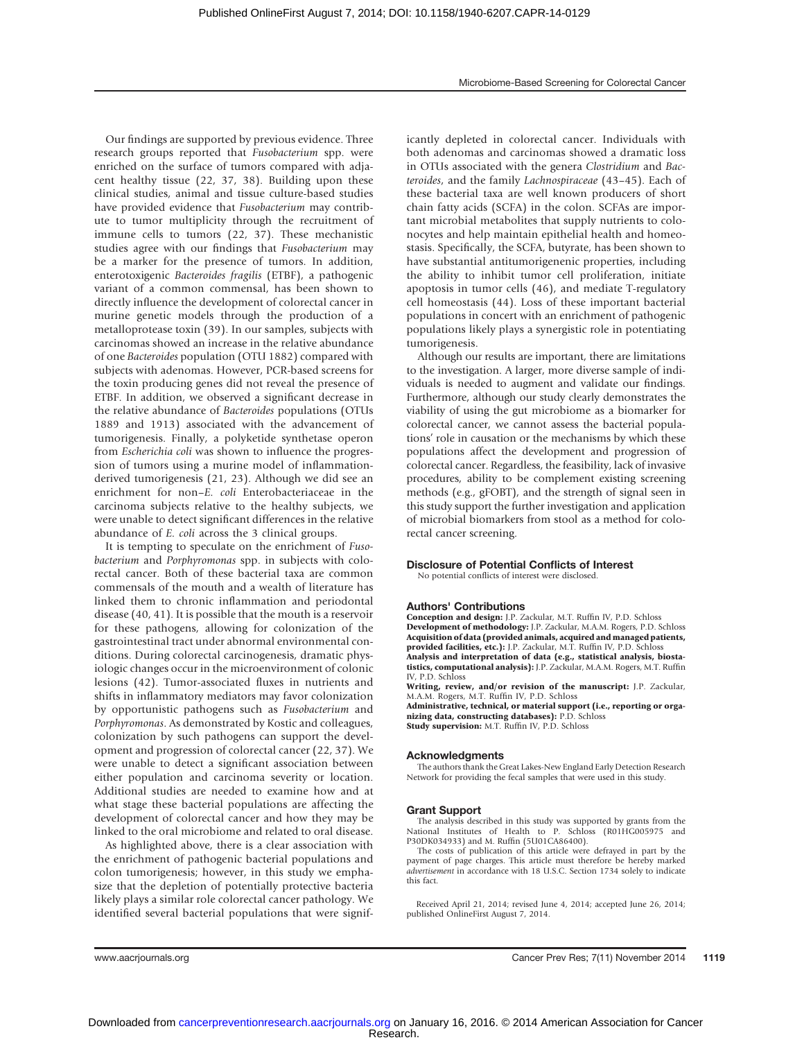Our findings are supported by previous evidence. Three research groups reported that Fusobacterium spp. were enriched on the surface of tumors compared with adjacent healthy tissue (22, 37, 38). Building upon these clinical studies, animal and tissue culture-based studies have provided evidence that Fusobacterium may contribute to tumor multiplicity through the recruitment of immune cells to tumors (22, 37). These mechanistic studies agree with our findings that Fusobacterium may be a marker for the presence of tumors. In addition, enterotoxigenic Bacteroides fragilis (ETBF), a pathogenic variant of a common commensal, has been shown to directly influence the development of colorectal cancer in murine genetic models through the production of a metalloprotease toxin (39). In our samples, subjects with carcinomas showed an increase in the relative abundance of one Bacteroides population (OTU 1882) compared with subjects with adenomas. However, PCR-based screens for the toxin producing genes did not reveal the presence of ETBF. In addition, we observed a significant decrease in the relative abundance of Bacteroides populations (OTUs 1889 and 1913) associated with the advancement of tumorigenesis. Finally, a polyketide synthetase operon from Escherichia coli was shown to influence the progression of tumors using a murine model of inflammationderived tumorigenesis (21, 23). Although we did see an enrichment for non–E. coli Enterobacteriaceae in the carcinoma subjects relative to the healthy subjects, we were unable to detect significant differences in the relative abundance of E. coli across the 3 clinical groups.

It is tempting to speculate on the enrichment of Fusobacterium and Porphyromonas spp. in subjects with colorectal cancer. Both of these bacterial taxa are common commensals of the mouth and a wealth of literature has linked them to chronic inflammation and periodontal disease (40, 41). It is possible that the mouth is a reservoir for these pathogens, allowing for colonization of the gastrointestinal tract under abnormal environmental conditions. During colorectal carcinogenesis, dramatic physiologic changes occur in the microenvironment of colonic lesions (42). Tumor-associated fluxes in nutrients and shifts in inflammatory mediators may favor colonization by opportunistic pathogens such as Fusobacterium and Porphyromonas. As demonstrated by Kostic and colleagues, colonization by such pathogens can support the development and progression of colorectal cancer (22, 37). We were unable to detect a significant association between either population and carcinoma severity or location. Additional studies are needed to examine how and at what stage these bacterial populations are affecting the development of colorectal cancer and how they may be linked to the oral microbiome and related to oral disease.

As highlighted above, there is a clear association with the enrichment of pathogenic bacterial populations and colon tumorigenesis; however, in this study we emphasize that the depletion of potentially protective bacteria likely plays a similar role colorectal cancer pathology. We identified several bacterial populations that were significantly depleted in colorectal cancer. Individuals with both adenomas and carcinomas showed a dramatic loss in OTUs associated with the genera Clostridium and Bacteroides, and the family Lachnospiraceae (43–45). Each of these bacterial taxa are well known producers of short chain fatty acids (SCFA) in the colon. SCFAs are important microbial metabolites that supply nutrients to colonocytes and help maintain epithelial health and homeostasis. Specifically, the SCFA, butyrate, has been shown to have substantial antitumorigenenic properties, including the ability to inhibit tumor cell proliferation, initiate apoptosis in tumor cells (46), and mediate T-regulatory cell homeostasis (44). Loss of these important bacterial populations in concert with an enrichment of pathogenic populations likely plays a synergistic role in potentiating tumorigenesis.

Although our results are important, there are limitations to the investigation. A larger, more diverse sample of individuals is needed to augment and validate our findings. Furthermore, although our study clearly demonstrates the viability of using the gut microbiome as a biomarker for colorectal cancer, we cannot assess the bacterial populations' role in causation or the mechanisms by which these populations affect the development and progression of colorectal cancer. Regardless, the feasibility, lack of invasive procedures, ability to be complement existing screening methods (e.g., gFOBT), and the strength of signal seen in this study support the further investigation and application of microbial biomarkers from stool as a method for colorectal cancer screening.

# Disclosure of Potential Conflicts of Interest

No potential conflicts of interest were disclosed.

#### Authors' Contributions

Conception and design: J.P. Zackular, M.T. Ruffin IV, P.D. Schloss Development of methodology: J.P. Zackular, M.A.M. Rogers, P.D. Schloss Acquisition of data (provided animals, acquired and managed patients, provided facilities, etc.): J.P. Zackular, M.T. Ruffin IV, P.D. Schloss Analysis and interpretation of data (e.g., statistical analysis, biostatistics, computational analysis): J.P. Zackular, M.A.M. Rogers, M.T. Ruffin IV, P.D. Schloss

Writing, review, and/or revision of the manuscript: J.P. Zackular, M.A.M. Rogers, M.T. Ruffin IV, P.D. Schloss

Administrative, technical, or material support (i.e., reporting or organizing data, constructing databases): P.D. Schloss Study supervision: M.T. Ruffin IV, P.D. Schloss

#### Acknowledgments

The authors thank the Great Lakes-New England Early Detection Research Network for providing the fecal samples that were used in this study.

### Grant Support

The analysis described in this study was supported by grants from the National Institutes of Health to P. Schloss (R01HG005975 and P30DK034933) and M. Ruffin (5U01CA86400).

The costs of publication of this article were defrayed in part by the payment of page charges. This article must therefore be hereby marked advertisement in accordance with 18 U.S.C. Section 1734 solely to indicate this fact.

Received April 21, 2014; revised June 4, 2014; accepted June 26, 2014; published OnlineFirst August 7, 2014.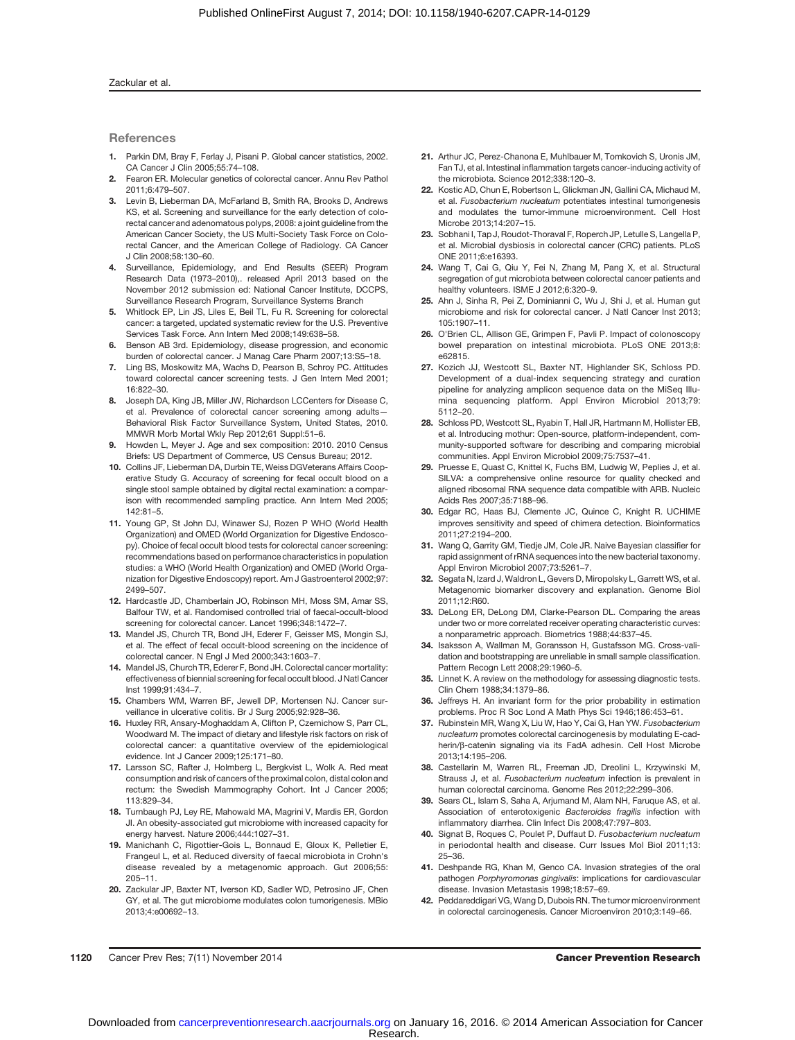### Zackular et al.

# **References**

- 1. Parkin DM, Bray F, Ferlay J, Pisani P. Global cancer statistics, 2002. CA Cancer J Clin 2005;55:74–108.
- 2. Fearon ER. Molecular genetics of colorectal cancer. Annu Rev Pathol 2011;6:479–507.
- 3. Levin B, Lieberman DA, McFarland B, Smith RA, Brooks D, Andrews KS, et al. Screening and surveillance for the early detection of colorectal cancer and adenomatous polyps, 2008: a joint guideline from the American Cancer Society, the US Multi-Society Task Force on Colorectal Cancer, and the American College of Radiology. CA Cancer J Clin 2008;58:130–60.
- 4. Surveillance, Epidemiology, and End Results (SEER) Program Research Data (1973–2010),. released April 2013 based on the November 2012 submission ed: National Cancer Institute, DCCPS, Surveillance Research Program, Surveillance Systems Branch
- 5. Whitlock EP, Lin JS, Liles E, Beil TL, Fu R. Screening for colorectal cancer: a targeted, updated systematic review for the U.S. Preventive Services Task Force. Ann Intern Med 2008;149:638–58.
- 6. Benson AB 3rd. Epidemiology, disease progression, and economic burden of colorectal cancer. J Manag Care Pharm 2007;13:S5–18.
- 7. Ling BS, Moskowitz MA, Wachs D, Pearson B, Schroy PC. Attitudes toward colorectal cancer screening tests. J Gen Intern Med 2001; 16:822–30.
- 8. Joseph DA, King JB, Miller JW, Richardson LCCenters for Disease C, et al. Prevalence of colorectal cancer screening among adults— Behavioral Risk Factor Surveillance System, United States, 2010. MMWR Morb Mortal Wkly Rep 2012;61 Suppl:51–6.
- 9. Howden L, Meyer J. Age and sex composition: 2010. 2010 Census Briefs: US Department of Commerce, US Census Bureau; 2012.
- 10. Collins JF, Lieberman DA, Durbin TE, Weiss DGVeterans Affairs Cooperative Study G. Accuracy of screening for fecal occult blood on a single stool sample obtained by digital rectal examination: a comparison with recommended sampling practice. Ann Intern Med 2005; 142:81–5.
- 11. Young GP, St John DJ, Winawer SJ, Rozen P WHO (World Health Organization) and OMED (World Organization for Digestive Endoscopy). Choice of fecal occult blood tests for colorectal cancer screening: recommendations based on performance characteristics in population studies: a WHO (World Health Organization) and OMED (World Organization for Digestive Endoscopy) report. Am J Gastroenterol 2002;97: 2499–507.
- 12. Hardcastle JD, Chamberlain JO, Robinson MH, Moss SM, Amar SS, Balfour TW, et al. Randomised controlled trial of faecal-occult-blood screening for colorectal cancer. Lancet 1996;348:1472–7.
- 13. Mandel JS, Church TR, Bond JH, Ederer F, Geisser MS, Mongin SJ, et al. The effect of fecal occult-blood screening on the incidence of colorectal cancer. N Engl J Med 2000;343:1603–7.
- 14. Mandel JS, Church TR, Ederer F, Bond JH. Colorectal cancer mortality: effectiveness of biennial screening for fecal occult blood. J Natl Cancer Inst 1999;91:434–7.
- 15. Chambers WM, Warren BF, Jewell DP, Mortensen NJ. Cancer surveillance in ulcerative colitis. Br J Surg 2005;92:928–36.
- 16. Huxley RR, Ansary-Moghaddam A, Clifton P, Czernichow S, Parr CL, Woodward M. The impact of dietary and lifestyle risk factors on risk of colorectal cancer: a quantitative overview of the epidemiological evidence. Int J Cancer 2009;125:171–80.
- 17. Larsson SC, Rafter J, Holmberg L, Bergkvist L, Wolk A. Red meat consumption and risk of cancers of the proximal colon, distal colon and rectum: the Swedish Mammography Cohort. Int J Cancer 2005; 113:829–34.
- 18. Turnbaugh PJ, Ley RE, Mahowald MA, Magrini V, Mardis ER, Gordon JI. An obesity-associated gut microbiome with increased capacity for energy harvest. Nature 2006;444:1027–31.
- 19. Manichanh C, Rigottier-Gois L, Bonnaud E, Gloux K, Pelletier E, Frangeul L, et al. Reduced diversity of faecal microbiota in Crohn's disease revealed by a metagenomic approach. Gut 2006;55: 205–11.
- 20. Zackular JP, Baxter NT, Iverson KD, Sadler WD, Petrosino JF, Chen GY, et al. The gut microbiome modulates colon tumorigenesis. MBio 2013;4:e00692–13.
- 21. Arthur JC, Perez-Chanona E, Muhlbauer M, Tomkovich S, Uronis JM, Fan TJ, et al. Intestinal inflammation targets cancer-inducing activity of the microbiota. Science 2012;338:120–3.
- 22. Kostic AD, Chun E, Robertson L, Glickman JN, Gallini CA, Michaud M, et al. Fusobacterium nucleatum potentiates intestinal tumorigenesis and modulates the tumor-immune microenvironment. Cell Host Microbe 2013;14:207–15.
- 23. Sobhani I, Tap J, Roudot-Thoraval F, Roperch JP, Letulle S, Langella P, et al. Microbial dysbiosis in colorectal cancer (CRC) patients. PLoS ONE 2011;6:e16393.
- 24. Wang T, Cai G, Qiu Y, Fei N, Zhang M, Pang X, et al. Structural segregation of gut microbiota between colorectal cancer patients and healthy volunteers. ISME J 2012;6:320-9.
- 25. Ahn J, Sinha R, Pei Z, Dominianni C, Wu J, Shi J, et al. Human gut microbiome and risk for colorectal cancer. J Natl Cancer Inst 2013; 105:1907–11.
- 26. O'Brien CL, Allison GE, Grimpen F, Pavli P. Impact of colonoscopy bowel preparation on intestinal microbiota. PLoS ONE 2013;8: e62815.
- 27. Kozich JJ, Westcott SL, Baxter NT, Highlander SK, Schloss PD. Development of a dual-index sequencing strategy and curation pipeline for analyzing amplicon sequence data on the MiSeq Illumina sequencing platform. Appl Environ Microbiol 2013;79: 5112–20.
- 28. Schloss PD, Westcott SL, Ryabin T, Hall JR, Hartmann M, Hollister EB, et al. Introducing mothur: Open-source, platform-independent, community-supported software for describing and comparing microbial communities. Appl Environ Microbiol 2009;75:7537–41.
- 29. Pruesse E, Quast C, Knittel K, Fuchs BM, Ludwig W, Peplies J, et al. SILVA: a comprehensive online resource for quality checked and aligned ribosomal RNA sequence data compatible with ARB. Nucleic Acids Res 2007;35:7188–96.
- 30. Edgar RC, Haas BJ, Clemente JC, Quince C, Knight R. UCHIME improves sensitivity and speed of chimera detection. Bioinformatics 2011;27:2194–200.
- 31. Wang Q, Garrity GM, Tiedje JM, Cole JR. Naive Bayesian classifier for rapid assignment of rRNA sequences into the new bacterial taxonomy. Appl Environ Microbiol 2007;73:5261–7.
- 32. Segata N, Izard J, Waldron L, Gevers D, Miropolsky L, Garrett WS, et al. Metagenomic biomarker discovery and explanation. Genome Biol 2011;12:R60.
- 33. DeLong ER, DeLong DM, Clarke-Pearson DL. Comparing the areas under two or more correlated receiver operating characteristic curves: a nonparametric approach. Biometrics 1988;44:837–45.
- 34. Isaksson A, Wallman M, Goransson H, Gustafsson MG. Cross-validation and bootstrapping are unreliable in small sample classification. Pattern Recogn Lett 2008;29:1960–5.
- 35. Linnet K. A review on the methodology for assessing diagnostic tests. Clin Chem 1988;34:1379–86.
- 36. Jeffreys H. An invariant form for the prior probability in estimation problems. Proc R Soc Lond A Math Phys Sci 1946;186:453–61.
- 37. Rubinstein MR, Wang X, Liu W, Hao Y, Cai G, Han YW. Fusobacterium nucleatum promotes colorectal carcinogenesis by modulating E-cadherin/b-catenin signaling via its FadA adhesin. Cell Host Microbe 2013;14:195–206.
- 38. Castellarin M, Warren RL, Freeman JD, Dreolini L, Krzywinski M, Strauss J, et al. Fusobacterium nucleatum infection is prevalent in human colorectal carcinoma. Genome Res 2012;22:299–306.
- 39. Sears CL, Islam S, Saha A, Arjumand M, Alam NH, Faruque AS, et al. Association of enterotoxigenic Bacteroides fragilis infection with inflammatory diarrhea. Clin Infect Dis 2008;47:797–803.
- 40. Signat B, Roques C, Poulet P, Duffaut D. Fusobacterium nucleatum in periodontal health and disease. Curr Issues Mol Biol 2011;13: 25–36.
- 41. Deshpande RG, Khan M, Genco CA. Invasion strategies of the oral pathogen Porphyromonas gingivalis: implications for cardiovascular disease. Invasion Metastasis 1998;18:57–69.
- 42. Peddareddigari VG, Wang D, Dubois RN. The tumor microenvironment in colorectal carcinogenesis. Cancer Microenviron 2010;3:149–66.

1120 Cancer Prev Res; 7(11) November 2014 Cancer Prevention Research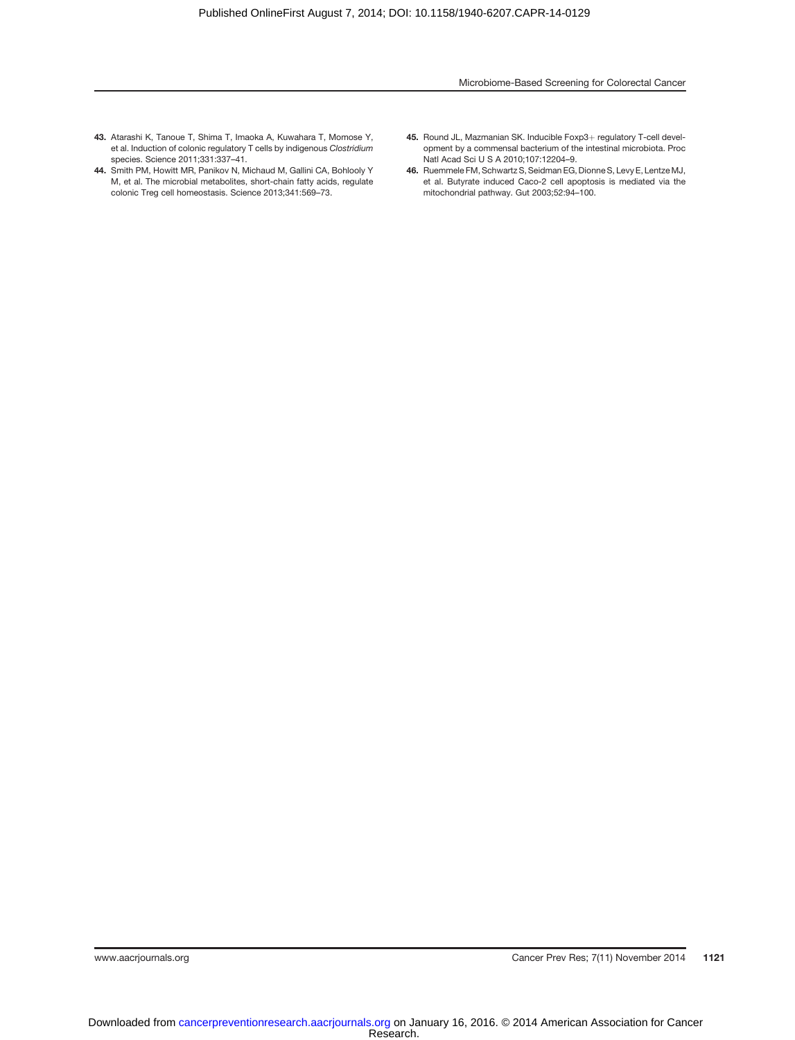## Microbiome-Based Screening for Colorectal Cancer

- 43. Atarashi K, Tanoue T, Shima T, Imaoka A, Kuwahara T, Momose Y, et al. Induction of colonic regulatory T cells by indigenous Clostridium species. Science 2011;331:337–41.
- 44. Smith PM, Howitt MR, Panikov N, Michaud M, Gallini CA, Bohlooly Y M, et al. The microbial metabolites, short-chain fatty acids, regulate colonic Treg cell homeostasis. Science 2013;341:569–73.
- 45. Round JL, Mazmanian SK. Inducible Foxp3+ regulatory T-cell development by a commensal bacterium of the intestinal microbiota. Proc Natl Acad Sci U S A 2010;107:12204–9.
- 46. Ruemmele FM, Schwartz S, Seidman EG, Dionne S, Levy E, Lentze MJ, et al. Butyrate induced Caco-2 cell apoptosis is mediated via the mitochondrial pathway. Gut 2003;52:94–100.